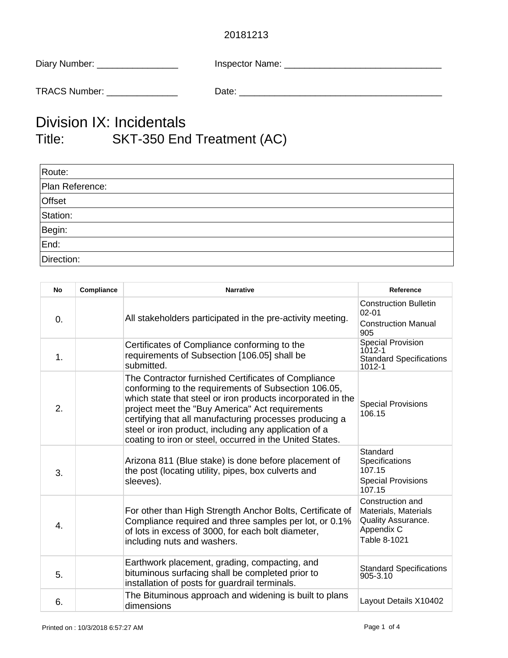## 20181213

| Diary Number: | <b>Inspector Name:</b> |
|---------------|------------------------|
|               |                        |

TRACS Number: \_\_\_\_\_\_\_\_\_\_\_\_\_\_ Date: \_\_\_\_\_\_\_\_\_\_\_\_\_\_\_\_\_\_\_\_\_\_\_\_\_\_\_\_\_\_\_\_\_\_\_\_\_\_\_\_

## Division IX: Incidentals Title: SKT-350 End Treatment (AC)

| Route:          |  |
|-----------------|--|
| Plan Reference: |  |
| Offset          |  |
| Station:        |  |
| Begin:          |  |
| End:            |  |
| Direction:      |  |

| <b>No</b>        | Compliance | <b>Narrative</b>                                                                                                                                                                                                                                                                                                                                                                                              | Reference                                                                                    |
|------------------|------------|---------------------------------------------------------------------------------------------------------------------------------------------------------------------------------------------------------------------------------------------------------------------------------------------------------------------------------------------------------------------------------------------------------------|----------------------------------------------------------------------------------------------|
| $\overline{0}$ . |            | All stakeholders participated in the pre-activity meeting.                                                                                                                                                                                                                                                                                                                                                    | <b>Construction Bulletin</b><br>$02 - 01$<br><b>Construction Manual</b><br>905               |
| 1.               |            | Certificates of Compliance conforming to the<br>requirements of Subsection [106.05] shall be<br>submitted.                                                                                                                                                                                                                                                                                                    | <b>Special Provision</b><br>1012-1<br><b>Standard Specifications</b><br>1012-1               |
| 2.               |            | The Contractor furnished Certificates of Compliance<br>conforming to the requirements of Subsection 106.05,<br>which state that steel or iron products incorporated in the<br>project meet the "Buy America" Act requirements<br>certifying that all manufacturing processes producing a<br>steel or iron product, including any application of a<br>coating to iron or steel, occurred in the United States. | <b>Special Provisions</b><br>106.15                                                          |
| 3.               |            | Arizona 811 (Blue stake) is done before placement of<br>the post (locating utility, pipes, box culverts and<br>sleeves).                                                                                                                                                                                                                                                                                      | Standard<br>Specifications<br>107.15<br><b>Special Provisions</b><br>107.15                  |
| 4.               |            | For other than High Strength Anchor Bolts, Certificate of<br>Compliance required and three samples per lot, or 0.1%<br>of lots in excess of 3000, for each bolt diameter,<br>including nuts and washers.                                                                                                                                                                                                      | Construction and<br>Materials, Materials<br>Quality Assurance.<br>Appendix C<br>Table 8-1021 |
| 5.               |            | Earthwork placement, grading, compacting, and<br>bituminous surfacing shall be completed prior to<br>installation of posts for guardrail terminals.                                                                                                                                                                                                                                                           | <b>Standard Specifications</b><br>905-3.10                                                   |
| 6.               |            | The Bituminous approach and widening is built to plans<br>dimensions                                                                                                                                                                                                                                                                                                                                          | Layout Details X10402                                                                        |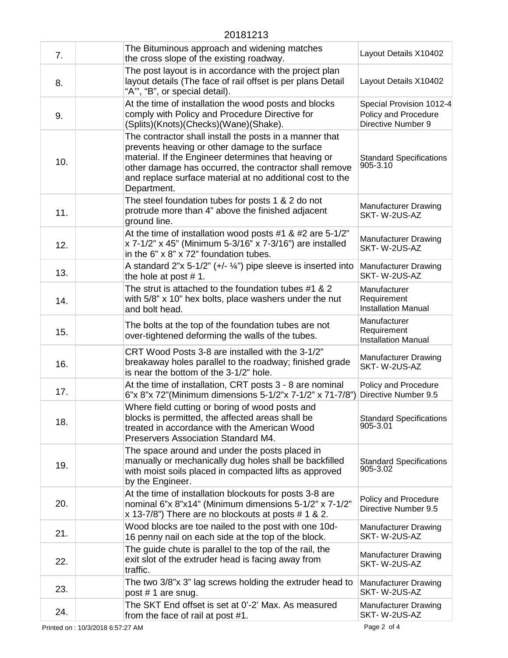| 7.  | The Bituminous approach and widening matches<br>the cross slope of the existing roadway.                                                                                                                                                                                                                 | Layout Details X10402                                                  |
|-----|----------------------------------------------------------------------------------------------------------------------------------------------------------------------------------------------------------------------------------------------------------------------------------------------------------|------------------------------------------------------------------------|
| 8.  | The post layout is in accordance with the project plan<br>layout details (The face of rail offset is per plans Detail<br>"A"", "B", or special detail).                                                                                                                                                  | Layout Details X10402                                                  |
| 9.  | At the time of installation the wood posts and blocks<br>comply with Policy and Procedure Directive for<br>(Splits)(Knots)(Checks)(Wane)(Shake).                                                                                                                                                         | Special Provision 1012-4<br>Policy and Procedure<br>Directive Number 9 |
| 10. | The contractor shall install the posts in a manner that<br>prevents heaving or other damage to the surface<br>material. If the Engineer determines that heaving or<br>other damage has occurred, the contractor shall remove<br>and replace surface material at no additional cost to the<br>Department. | <b>Standard Specifications</b><br>905-3.10                             |
| 11. | The steel foundation tubes for posts 1 & 2 do not<br>protrude more than 4" above the finished adjacent<br>ground line.                                                                                                                                                                                   | <b>Manufacturer Drawing</b><br>SKT-W-2US-AZ                            |
| 12. | At the time of installation wood posts #1 & #2 are 5-1/2"<br>x 7-1/2" x 45" (Minimum 5-3/16" x 7-3/16") are installed<br>in the 6" x 8" x 72" foundation tubes.                                                                                                                                          | <b>Manufacturer Drawing</b><br>SKT-W-2US-AZ                            |
| 13. | A standard $2^{\prime\prime}$ x 5-1/2" (+/- 1/4") pipe sleeve is inserted into<br>the hole at post $# 1$ .                                                                                                                                                                                               | <b>Manufacturer Drawing</b><br>SKT-W-2US-AZ                            |
| 14. | The strut is attached to the foundation tubes #1 & 2<br>with 5/8" x 10" hex bolts, place washers under the nut<br>and bolt head.                                                                                                                                                                         | Manufacturer<br>Requirement<br><b>Installation Manual</b>              |
| 15. | The bolts at the top of the foundation tubes are not<br>over-tightened deforming the walls of the tubes.                                                                                                                                                                                                 | Manufacturer<br>Requirement<br><b>Installation Manual</b>              |
| 16. | CRT Wood Posts 3-8 are installed with the 3-1/2"<br>breakaway holes parallel to the roadway; finished grade<br>is near the bottom of the 3-1/2" hole.                                                                                                                                                    | <b>Manufacturer Drawing</b><br>SKT-W-2US-AZ                            |
| 17. | At the time of installation, CRT posts 3 - 8 are nominal<br>6"x 8"x 72"(Minimum dimensions 5-1/2"x 7-1/2" x 71-7/8")                                                                                                                                                                                     | Policy and Procedure<br>Directive Number 9.5                           |
| 18. | Where field cutting or boring of wood posts and<br>blocks is permitted, the affected areas shall be<br>treated in accordance with the American Wood<br>Preservers Association Standard M4.                                                                                                               | <b>Standard Specifications</b><br>905-3.01                             |
| 19. | The space around and under the posts placed in<br>manually or mechanically dug holes shall be backfilled<br>with moist soils placed in compacted lifts as approved<br>by the Engineer.                                                                                                                   | <b>Standard Specifications</b><br>905-3.02                             |
| 20. | At the time of installation blockouts for posts 3-8 are<br>nominal 6"x 8"x14" (Minimum dimensions 5-1/2" x 7-1/2"<br>x 13-7/8") There are no blockouts at posts # 1 & 2.                                                                                                                                 | Policy and Procedure<br>Directive Number 9.5                           |
| 21. | Wood blocks are toe nailed to the post with one 10d-<br>16 penny nail on each side at the top of the block.                                                                                                                                                                                              | <b>Manufacturer Drawing</b><br>SKT-W-2US-AZ                            |
| 22. | The guide chute is parallel to the top of the rail, the<br>exit slot of the extruder head is facing away from<br>traffic.                                                                                                                                                                                | <b>Manufacturer Drawing</b><br>SKT-W-2US-AZ                            |
| 23. | The two 3/8"x 3" lag screws holding the extruder head to<br>post #1 are snug.                                                                                                                                                                                                                            | <b>Manufacturer Drawing</b><br>SKT-W-2US-AZ                            |
| 24. | The SKT End offset is set at 0'-2' Max. As measured<br>from the face of rail at post #1.                                                                                                                                                                                                                 | <b>Manufacturer Drawing</b><br>SKT-W-2US-AZ                            |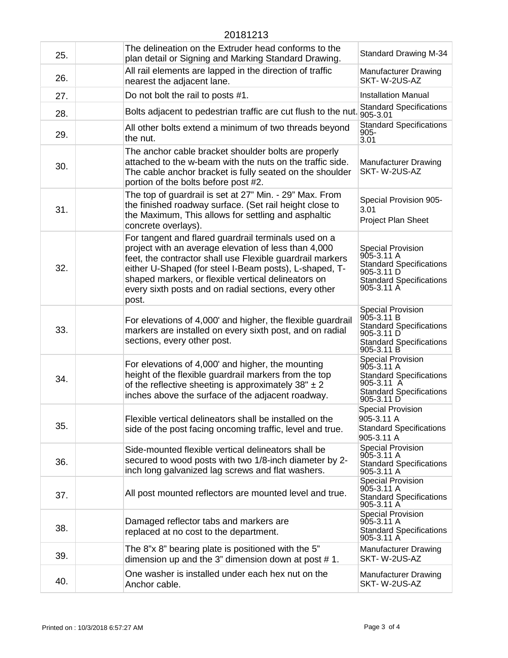## 20181213

| 25. | The delineation on the Extruder head conforms to the<br>plan detail or Signing and Marking Standard Drawing.                                                                                                                                                                                                                                                 | <b>Standard Drawing M-34</b>                                                                                                               |
|-----|--------------------------------------------------------------------------------------------------------------------------------------------------------------------------------------------------------------------------------------------------------------------------------------------------------------------------------------------------------------|--------------------------------------------------------------------------------------------------------------------------------------------|
| 26. | All rail elements are lapped in the direction of traffic<br>nearest the adjacent lane.                                                                                                                                                                                                                                                                       | <b>Manufacturer Drawing</b><br>SKT-W-2US-AZ                                                                                                |
| 27. | Do not bolt the rail to posts #1.                                                                                                                                                                                                                                                                                                                            | <b>Installation Manual</b>                                                                                                                 |
| 28. | Bolts adjacent to pedestrian traffic are cut flush to the nut. 905-3.01                                                                                                                                                                                                                                                                                      | <b>Standard Specifications</b>                                                                                                             |
| 29. | All other bolts extend a minimum of two threads beyond<br>the nut.                                                                                                                                                                                                                                                                                           | <b>Standard Specifications</b><br>$905 -$<br>3.01                                                                                          |
| 30. | The anchor cable bracket shoulder bolts are properly<br>attached to the w-beam with the nuts on the traffic side.<br>The cable anchor bracket is fully seated on the shoulder<br>portion of the bolts before post #2.                                                                                                                                        | <b>Manufacturer Drawing</b><br>SKT-W-2US-AZ                                                                                                |
| 31. | The top of guardrail is set at 27" Min. - 29" Max. From<br>the finished roadway surface. (Set rail height close to<br>the Maximum, This allows for settling and asphaltic<br>concrete overlays).                                                                                                                                                             | Special Provision 905-<br>3.01<br>Project Plan Sheet                                                                                       |
| 32. | For tangent and flared guardrail terminals used on a<br>project with an average elevation of less than 4,000<br>feet, the contractor shall use Flexible guardrail markers<br>either U-Shaped (for steel I-Beam posts), L-shaped, T-<br>shaped markers, or flexible vertical delineators on<br>every sixth posts and on radial sections, every other<br>post. | <b>Special Provision</b><br>$905 - 3.11 A$<br><b>Standard Specifications</b><br>905-3.11 D<br><b>Standard Specifications</b><br>905-3.11 A |
| 33. | For elevations of 4,000' and higher, the flexible guardrail<br>markers are installed on every sixth post, and on radial<br>sections, every other post.                                                                                                                                                                                                       | <b>Special Provision</b><br>905-3.11 B<br><b>Standard Specifications</b><br>905-3.11 D<br><b>Standard Specifications</b><br>905-3.11 B     |
| 34. | For elevations of 4,000' and higher, the mounting<br>height of the flexible guardrail markers from the top<br>of the reflective sheeting is approximately $38" \pm 2$<br>inches above the surface of the adjacent roadway.                                                                                                                                   | <b>Special Provision</b><br>905-3.11 A<br><b>Standard Specifications</b><br>$905 - 3.11$ A<br><b>Standard Specifications</b><br>905-3.11 D |
| 35. | Flexible vertical delineators shall be installed on the<br>side of the post facing oncoming traffic, level and true.                                                                                                                                                                                                                                         | <b>Special Provision</b><br>905-3.11 A<br><b>Standard Specifications</b><br>905-3.11 A                                                     |
| 36. | Side-mounted flexible vertical delineators shall be<br>secured to wood posts with two 1/8-inch diameter by 2-<br>inch long galvanized lag screws and flat washers.                                                                                                                                                                                           | Special Provision<br>905-3.11 A<br><b>Standard Specifications</b><br>905-3.11 A                                                            |
| 37. | All post mounted reflectors are mounted level and true.                                                                                                                                                                                                                                                                                                      | <b>Special Provision</b><br>905-3.11 A<br><b>Standard Specifications</b><br>905-3.11 A                                                     |
| 38. | Damaged reflector tabs and markers are<br>replaced at no cost to the department.                                                                                                                                                                                                                                                                             | <b>Special Provision</b><br>905-3.11 A<br><b>Standard Specifications</b><br>905-3.11 A                                                     |
| 39. | The 8"x 8" bearing plate is positioned with the 5"<br>dimension up and the 3" dimension down at post $# 1$ .                                                                                                                                                                                                                                                 | <b>Manufacturer Drawing</b><br>SKT-W-2US-AZ                                                                                                |
| 40. | One washer is installed under each hex nut on the<br>Anchor cable.                                                                                                                                                                                                                                                                                           | <b>Manufacturer Drawing</b><br>SKT-W-2US-AZ                                                                                                |